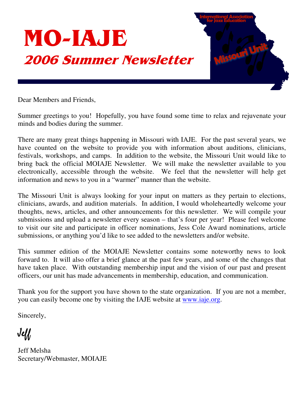

Dear Members and Friends,

Summer greetings to you! Hopefully, you have found some time to relax and rejuvenate your minds and bodies during the summer.

There are many great things happening in Missouri with IAJE. For the past several years, we have counted on the website to provide you with information about auditions, clinicians, festivals, workshops, and camps. In addition to the website, the Missouri Unit would like to bring back the official MOIAJE Newsletter. We will make the newsletter available to you electronically, accessible through the website. We feel that the newsletter will help get information and news to you in a "warmer" manner than the website.

The Missouri Unit is always looking for your input on matters as they pertain to elections, clinicians, awards, and audition materials. In addition, I would wholeheartedly welcome your thoughts, news, articles, and other announcements for this newsletter. We will compile your submissions and upload a newsletter every season – that's four per year! Please feel welcome to visit our site and participate in officer nominations, Jess Cole Award nominations, article submissions, or anything you'd like to see added to the newsletters and/or website.

This summer edition of the MOIAJE Newsletter contains some noteworthy news to look forward to. It will also offer a brief glance at the past few years, and some of the changes that have taken place. With outstanding membership input and the vision of our past and present officers, our unit has made advancements in membership, education, and communication.

Thank you for the support you have shown to the state organization. If you are not a member, you can easily become one by visiting the IAJE website at www.iaje.org.

Sincerely,

 $J$ e $\mathcal U$ 

Jeff Melsha Secretary/Webmaster, MOIAJE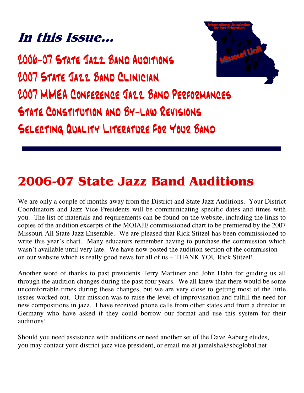### In this Issue...



2006-07 STATE JA22 BAND AUDITIONS 2007 STATE JA22 BAND CLINICIAN 2007 MMEA CONFERENCE JAZZ BAND PERFORMANCES STATE CONSTITUTION AND BY-LAW REVISIONS SELECTING QUALITY LITERATURE FOR YOUR BAND

# 2006-07 State Jazz Band Auditions

We are only a couple of months away from the District and State Jazz Auditions. Your District Coordinators and Jazz Vice Presidents will be communicating specific dates and times with you. The list of materials and requirements can be found on the website, including the links to copies of the audition excerpts of the MOIAJE commissioned chart to be premiered by the 2007 Missouri All State Jazz Ensemble. We are pleased that Rick Stitzel has been commissioned to write this year's chart. Many educators remember having to purchase the commission which wasn't available until very late. We have now posted the audition section of the commission on our website which is really good news for all of us – THANK YOU Rick Stitzel!

Another word of thanks to past presidents Terry Martinez and John Hahn for guiding us all through the audition changes during the past four years. We all knew that there would be some uncomfortable times during these changes, but we are very close to getting most of the little issues worked out. Our mission was to raise the level of improvisation and fulfill the need for new compositions in jazz. I have received phone calls from other states and from a director in Germany who have asked if they could borrow our format and use this system for their auditions!

Should you need assistance with auditions or need another set of the Dave Aaberg etudes, you may contact your district jazz vice president, or email me at jamelsha@sbcglobal.net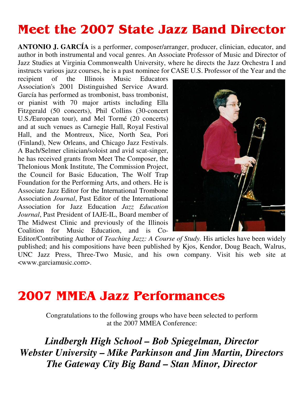#### **Meet the 2007 State Jazz Band Director**

**ANTONIO J. GARCÍA** is a performer, composer/arranger, producer, clinician, educator, and author in both instrumental and vocal genres. An Associate Professor of Music and Director of Jazz Studies at Virginia Commonwealth University, where he directs the Jazz Orchestra I and instructs various jazz courses, he is a past nominee for CASE U.S. Professor of the Year and the

recipient of the Illinois Music Educators Association's 2001 Distinguished Service Award. García has performed as trombonist, bass trombonist, or pianist with 70 major artists including Ella Fitzgerald (50 concerts), Phil Collins (30-concert U.S./European tour), and Mel Tormé (20 concerts) and at such venues as Carnegie Hall, Royal Festival Hall, and the Montreux, Nice, North Sea, Pori (Finland), New Orleans, and Chicago Jazz Festivals. A Bach/Selmer clinician/soloist and avid scat-singer, he has received grants from Meet The Composer, the Thelonious Monk Institute, The Commission Project, the Council for Basic Education, The Wolf Trap Foundation for the Performing Arts, and others. He is Associate Jazz Editor for the International Trombone Association *Journal*, Past Editor of the International Association for Jazz Education *Jazz Education Journal*, Past President of IAJE-IL, Board member of The Midwest Clinic and previously of the Illinois Coalition for Music Education, and is Co-



Editor/Contributing Author of *Teaching Jazz: A Course of Study.* His articles have been widely published; and his compositions have been published by Kjos, Kendor, Doug Beach, Walrus, UNC Jazz Press, Three-Two Music, and his own company. Visit his web site at <www.garciamusic.com>.

### **2007 MMEA Jazz Performances**

Congratulations to the following groups who have been selected to perform at the 2007 MMEA Conference:

*Lindbergh High School – Bob Spiegelman, Director Webster University – Mike Parkinson and Jim Martin, Directors The Gateway City Big Band – Stan Minor, Director*